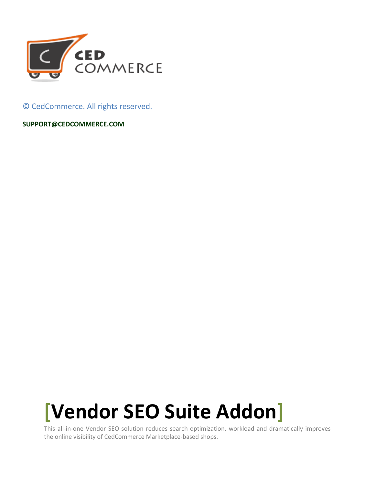

© CedCommerce. All rights reserved.

**SUPPORT@CEDCOMMERCE.COM**

# **[Vendor SEO Suite Addon]**

This all-in-one Vendor SEO solution reduces search optimization, workload and dramatically improves the online visibility of CedCommerce Marketplace-based shops.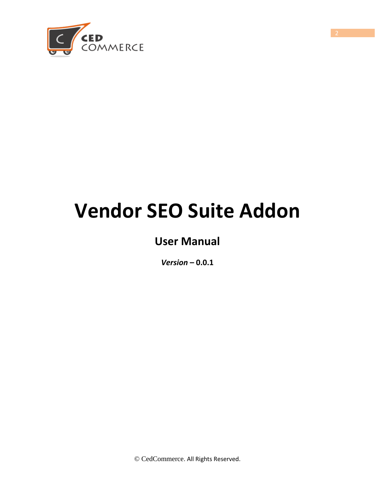

## **Vendor SEO Suite Addon**

## **User Manual**

*Version* **– 0.0.1**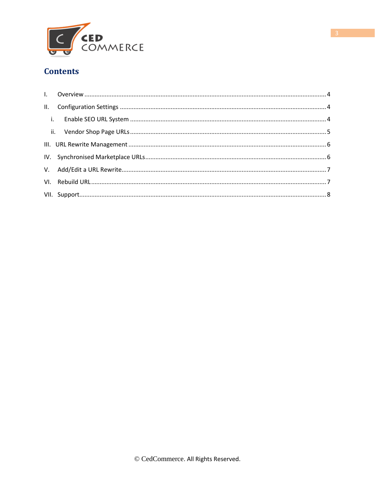

#### **Contents**

<span id="page-2-0"></span>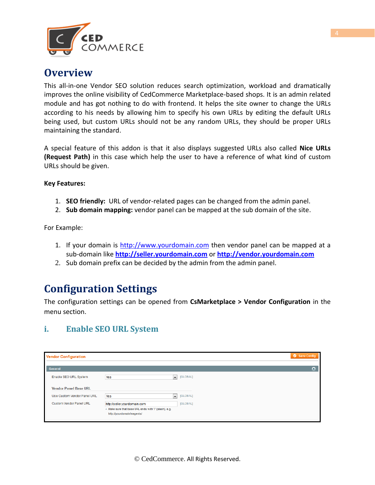

## **Overview**

This all-in-one Vendor SEO solution reduces search optimization, workload and dramatically improves the online visibility of CedCommerce Marketplace-based shops. It is an admin related module and has got nothing to do with frontend. It helps the site owner to change the URLs according to his needs by allowing him to specify his own URLs by editing the default URLs being used, but custom URLs should not be any random URLs, they should be proper URLs maintaining the standard.

A special feature of this addon is that it also displays suggested URLs also called **Nice URLs (Request Path)** in this case which help the user to have a reference of what kind of custom URLs should be given.

**Key Features:**

- 1. **SEO friendly:** URL of vendor-related pages can be changed from the admin panel.
- 2. **Sub domain mapping:** vendor panel can be mapped at the sub domain of the site.

For Example:

- 1. If your domain is [http://www.yourdomain.com](http://www.yourdomain.com/) then vendor panel can be mapped at a sub-domain like **[http://seller.yourdomain.com](http://seller.yourdomain.com/)** or **[http://vendor.yourdomain.com](http://vendor.yourdomain.com/)**
- 2. Sub domain prefix can be decided by the admin from the admin panel.

## <span id="page-3-0"></span>**Configuration Settings**

The configuration settings can be opened from **CsMarketplace > Vendor Configuration** in the menu section.

#### **i. Enable SEO URL System**

| Save Config<br><b>Vendor Configuration</b> |                                                                                     |          |  |  |  |
|--------------------------------------------|-------------------------------------------------------------------------------------|----------|--|--|--|
| General                                    |                                                                                     | ٥        |  |  |  |
| Enable SEO URL System                      | $\overline{\phantom{a}}$<br>Yes                                                     | [GLOBAL] |  |  |  |
| <b>Vendor Panel Base URL</b>               |                                                                                     |          |  |  |  |
| Use Custom Vendor Panel URL                | Yes<br>$\left  \cdot \right $                                                       | [GLOBAL] |  |  |  |
| <b>Custom Vendor Panel URL</b>             | http://seller.yourdomain.com                                                        | [GLOBAL] |  |  |  |
|                                            | A Make sure that base URL ends with '/' (slash), e.g.<br>http://yourdomain/magento/ |          |  |  |  |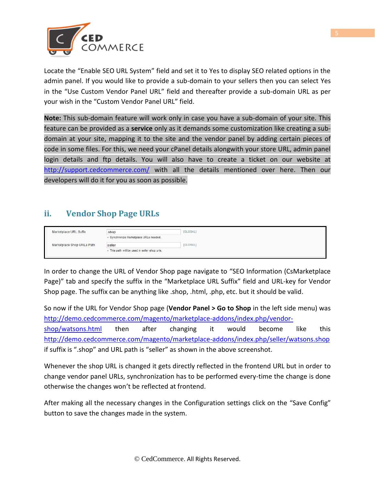

Locate the "Enable SEO URL System" field and set it to Yes to display SEO related options in the admin panel. If you would like to provide a sub-domain to your sellers then you can select Yes in the "Use Custom Vendor Panel URL" field and thereafter provide a sub-domain URL as per your wish in the "Custom Vendor Panel URL" field.

**Note:** This sub-domain feature will work only in case you have a sub-domain of your site. This feature can be provided as a **service** only as it demands some customization like creating a subdomain at your site, mapping it to the site and the vendor panel by adding certain pieces of code in some files. For this, we need your cPanel details alongwith your store URL, admin panel login details and ftp details. You will also have to create a ticket on our website at <http://support.cedcommerce.com/> with all the details mentioned over here. Then our developers will do it for you as soon as possible.

#### **ii. Vendor Shop Page URLs**

| Marketplace URL Suffix     | .shop                                         | [GLOBAL] |
|----------------------------|-----------------------------------------------|----------|
|                            | A Synchronize Marketplace URLs needed.        |          |
| Marketplace Shop URLs Path | seller                                        | [GLOBAL] |
|                            | A This path will be used in seller shop urls. |          |

In order to change the URL of Vendor Shop page navigate to "SEO Information (CsMarketplace Page)" tab and specify the suffix in the "Marketplace URL Suffix" field and URL-key for Vendor Shop page. The suffix can be anything like .shop, .html, .php, etc. but it should be valid.

So now if the URL for Vendor Shop page (**Vendor Panel > Go to Shop** in the left side menu) was [http://demo.cedcommerce.com/magento/marketplace-addons/index.php/vendor-](http://demo.cedcommerce.com/magento/marketplace-addons/index.php/vendor-shop/watsons.html)

[shop/watsons.html](http://demo.cedcommerce.com/magento/marketplace-addons/index.php/vendor-shop/watsons.html) then after changing it would become like this <http://demo.cedcommerce.com/magento/marketplace-addons/index.php/seller/watsons.shop> if suffix is ".shop" and URL path is "seller" as shown in the above screenshot.

Whenever the shop URL is changed it gets directly reflected in the frontend URL but in order to change vendor panel URLs, synchronization has to be performed every-time the change is done otherwise the changes won't be reflected at frontend.

After making all the necessary changes in the Configuration settings click on the "Save Config" button to save the changes made in the system.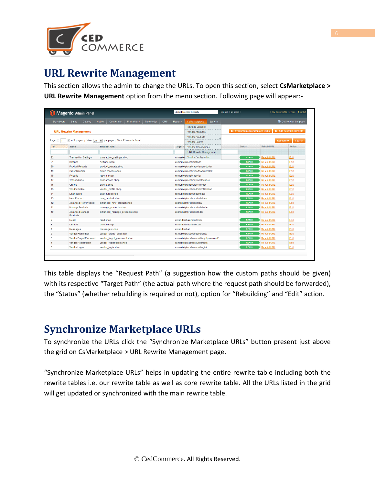

## **URL Rewrite Management**

This section allows the admin to change the URLs. To open this section, select **CsMarketplace > URL Rewrite Management** option from the menu section. Following page will appear:-

|                  | Magento Admin Panel           |                                                          |                          |                                       | <b>Global Record Search</b>                       | Logged in as admin                    | Try Magento Go for Free   Log Out   |
|------------------|-------------------------------|----------------------------------------------------------|--------------------------|---------------------------------------|---------------------------------------------------|---------------------------------------|-------------------------------------|
| Dashboard        | Catalog<br><b>Sales</b>       | <b>Mobile</b><br><b>Customers</b><br><b>Promotions</b>   | Newsletter<br><b>CMS</b> | <b>Reports</b>                        | System<br><b>CsMarketplace</b>                    |                                       | C Get help for this page            |
|                  |                               |                                                          |                          |                                       | <b>Manage Vendors</b>                             |                                       |                                     |
|                  | <b>URL Rewrite Management</b> |                                                          |                          |                                       | Vendor Attributes                                 | <b>O</b> Synchronize Marketplace URLs | Add New URL Rewrite                 |
|                  |                               |                                                          |                          |                                       | <b>Vendor Products</b>                            |                                       |                                     |
| Page             |                               | of 2 pages   View 20   per page   Total 22 records found |                          |                                       | Vendor Orders                                     |                                       | <b>Reset Filter</b><br>Search       |
| ID               | Name                          | <b>Request Path</b>                                      |                          | <b>Target Pr</b>                      | <b>Vendor Transactions</b>                        | <b>Status</b>                         | <b>Rebuild URL</b><br><b>Action</b> |
|                  |                               |                                                          |                          |                                       | <b>URL Rewrite Management</b>                     |                                       |                                     |
| 22               | <b>Transaction Settings</b>   | transaction_settings.shop                                |                          | csmarke                               | Vendor Configuration                              | <b>READY</b>                          | <b>Rebuild URL</b><br>Edit          |
| 21               | Settings                      | settings.shop                                            |                          |                                       | csmarketplace/vsettings                           | <b>READY</b>                          | Edit<br><b>Rebuild URL</b>          |
| 20               | <b>Product Reports</b>        | product reports.shop                                     |                          |                                       | csmarketplace/vreports/vproducts/                 | <b>READY</b>                          | Edit<br><b>Rebuild URL</b>          |
| 19               | <b>Order Reports</b>          | order_reports.shop                                       |                          |                                       | csmarketplace/vreports/vorders23/                 | <b>READY</b>                          | <b>Rebuild URL</b><br>Edit          |
| 18               | <b>Reports</b>                | reports.shop                                             |                          |                                       | csmarketplace/vreports/                           | <b>READY</b>                          | Edit<br><b>Rebuild URL</b>          |
| 17               | Transactions                  | transactions.shop                                        |                          |                                       | csmarketplace/vpayments/index                     | <b>READY</b>                          | Edit<br><b>Rebuild URL</b>          |
| 16               | <b>Orders</b>                 | orders.shop                                              |                          |                                       | csmarketplace/vorders/index                       |                                       | Edit<br><b>Rebuild URL</b>          |
| 15               | <b>Vendor Profile</b>         | vendor profile.shop                                      |                          |                                       | csmarketplace/vendor/profileview/<br><b>READY</b> |                                       | Edit<br><b>Rebuild URL</b>          |
| 14               | Dashboard                     | dashboard.shop                                           |                          |                                       | csmarketplace/vendor/index                        |                                       | Edit<br><b>Rebuild URL</b>          |
| 13               | <b>New Product</b>            | new_product.shop                                         |                          |                                       | csmarketplace/vproducts/new                       | <b>READY</b>                          | Edit<br><b>Rebuild URL</b>          |
| 12               | <b>Advanced New Product</b>   | advanced new product.shop                                |                          |                                       | csproduct/vproducts/new                           | <b>READY</b>                          | Edit<br><b>Rebuild URL</b>          |
| 11               | <b>Manage Products</b>        | manage products.shop                                     |                          |                                       | csmarketplace/vproducts/index                     | <b>READY</b>                          | <b>Rebuild URL</b><br>Edit          |
| 10 <sup>10</sup> | Advanced Manage<br>Products   | advanced_manage_products.shop                            |                          |                                       | csproduct/vproducts/index                         | <b>READY</b>                          | Edit<br><b>Rebuild URL</b>          |
| 9                | Read                          | read.shop                                                |                          |                                       | csvendorchat/index/inbox                          | <b>READY</b>                          | <b>Rebuild URL</b><br>Edit          |
| 8                | Unread                        | unread.shop                                              |                          |                                       | csvendorchat/index/sent                           | <b>READY</b>                          | Edit<br><b>Rebuild URL</b>          |
| 7                | Messages                      | messages.shop                                            |                          | csvendorchat                          |                                                   | <b>READY</b>                          | <b>Rebuild URL</b><br>Edit          |
| 6                | Vendor Profile Edit           | vendor profile edit.shop                                 |                          |                                       | csmarketplace/vendor/profile/                     | <b>READY</b>                          | <b>Rebuild URL</b><br>Edit          |
| 5                | Vendor Forgot Password        | vendor forgot password.shop                              |                          | csmarketplace/account/forgotpassword/ |                                                   | <b>READY</b>                          | Edit<br><b>Rebuild URL</b>          |
| 4                | <b>Vendor Registration</b>    | vendor_registration.shop                                 |                          |                                       | csmarketplace/account/create/                     | <b>READY</b>                          | <b>Rebuild URL</b><br>Edit          |
| 3                | Vendor Login                  | vendor_login.shop                                        |                          |                                       | csmarketplace/account/login/                      | <b>READY</b>                          | Edit<br><b>Rebuild URL</b>          |

This table displays the "Request Path" (a suggestion how the custom paths should be given) with its respective "Target Path" (the actual path where the request path should be forwarded), the "Status" (whether rebuilding is required or not), option for "Rebuilding" and "Edit" action.

## **Synchronize Marketplace URLs**

To synchronize the URLs click the "Synchronize Marketplace URLs" button present just above the grid on CsMarketplace > URL Rewrite Management page.

"Synchronize Marketplace URLs" helps in updating the entire rewrite table including both the rewrite tables i.e. our rewrite table as well as core rewrite table. All the URLs listed in the grid will get updated or synchronized with the main rewrite table.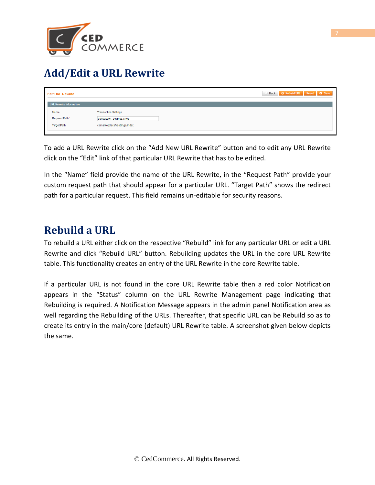

## **Add/Edit a URL Rewrite**

| <b>Edit URL Rewrite</b>                      |                                                                                           | O Back C Rebuild URL Reset C Save |
|----------------------------------------------|-------------------------------------------------------------------------------------------|-----------------------------------|
| <b>URL Rewrite Information</b>               |                                                                                           |                                   |
| Name<br>Request Path *<br><b>Target Path</b> | <b>Transaction Settings</b><br>transaction_settings.shop<br>csmarketplace/vsettings/index |                                   |

To add a URL Rewrite click on the "Add New URL Rewrite" button and to edit any URL Rewrite click on the "Edit" link of that particular URL Rewrite that has to be edited.

In the "Name" field provide the name of the URL Rewrite, in the "Request Path" provide your custom request path that should appear for a particular URL. "Target Path" shows the redirect path for a particular request. This field remains un-editable for security reasons.

## **Rebuild a URL**

To rebuild a URL either click on the respective "Rebuild" link for any particular URL or edit a URL Rewrite and click "Rebuild URL" button. Rebuilding updates the URL in the core URL Rewrite table. This functionality creates an entry of the URL Rewrite in the core Rewrite table.

If a particular URL is not found in the core URL Rewrite table then a red color Notification appears in the "Status" column on the URL Rewrite Management page indicating that Rebuilding is required. A Notification Message appears in the admin panel Notification area as well regarding the Rebuilding of the URLs. Thereafter, that specific URL can be Rebuild so as to create its entry in the main/core (default) URL Rewrite table. A screenshot given below depicts the same.